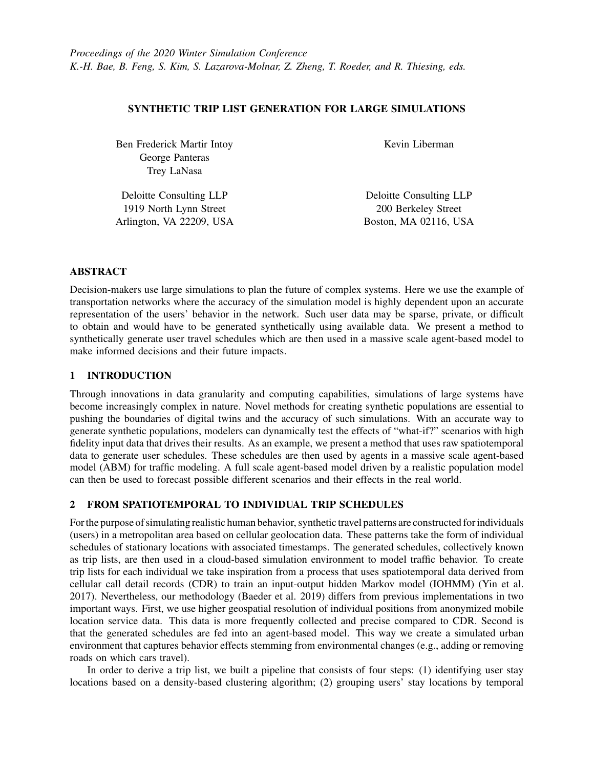## SYNTHETIC TRIP LIST GENERATION FOR LARGE SIMULATIONS

Ben Frederick Martir Intoy George Panteras Trey LaNasa

Kevin Liberman

Deloitte Consulting LLP 1919 North Lynn Street Arlington, VA 22209, USA

Deloitte Consulting LLP 200 Berkeley Street Boston, MA 02116, USA

## ABSTRACT

Decision-makers use large simulations to plan the future of complex systems. Here we use the example of transportation networks where the accuracy of the simulation model is highly dependent upon an accurate representation of the users' behavior in the network. Such user data may be sparse, private, or difficult to obtain and would have to be generated synthetically using available data. We present a method to synthetically generate user travel schedules which are then used in a massive scale agent-based model to make informed decisions and their future impacts.

# 1 INTRODUCTION

Through innovations in data granularity and computing capabilities, simulations of large systems have become increasingly complex in nature. Novel methods for creating synthetic populations are essential to pushing the boundaries of digital twins and the accuracy of such simulations. With an accurate way to generate synthetic populations, modelers can dynamically test the effects of "what-if?" scenarios with high fidelity input data that drives their results. As an example, we present a method that uses raw spatiotemporal data to generate user schedules. These schedules are then used by agents in a massive scale agent-based model (ABM) for traffic modeling. A full scale agent-based model driven by a realistic population model can then be used to forecast possible different scenarios and their effects in the real world.

## 2 FROM SPATIOTEMPORAL TO INDIVIDUAL TRIP SCHEDULES

For the purpose of simulating realistic human behavior, synthetic travel patterns are constructed for individuals (users) in a metropolitan area based on cellular geolocation data. These patterns take the form of individual schedules of stationary locations with associated timestamps. The generated schedules, collectively known as trip lists, are then used in a cloud-based simulation environment to model traffic behavior. To create trip lists for each individual we take inspiration from a process that uses spatiotemporal data derived from cellular call detail records (CDR) to train an input-output hidden Markov model (IOHMM) [\(Yin et al.](#page-1-0) [2017\)](#page-1-0). Nevertheless, our methodology [\(Baeder et al. 2019\)](#page-1-1) differs from previous implementations in two important ways. First, we use higher geospatial resolution of individual positions from anonymized mobile location service data. This data is more frequently collected and precise compared to CDR. Second is that the generated schedules are fed into an agent-based model. This way we create a simulated urban environment that captures behavior effects stemming from environmental changes (e.g., adding or removing roads on which cars travel).

In order to derive a trip list, we built a pipeline that consists of four steps: (1) identifying user stay locations based on a density-based clustering algorithm; (2) grouping users' stay locations by temporal